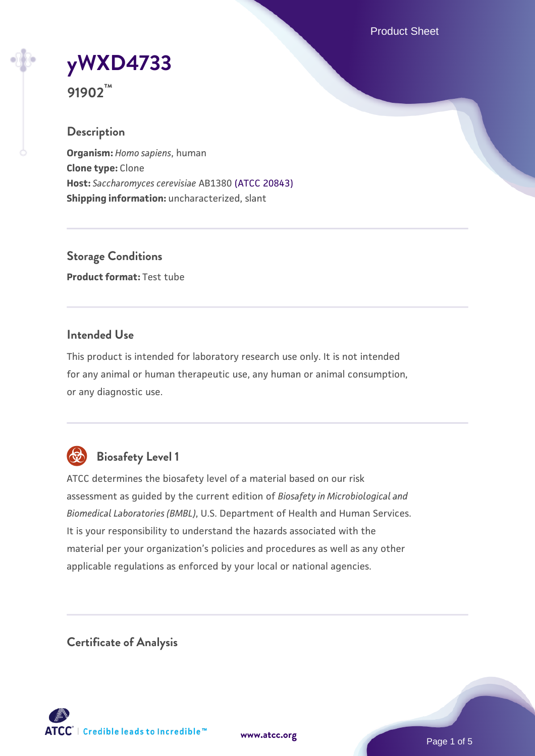Product Sheet

**[yWXD4733](https://www.atcc.org/products/91902)**

**91902™**

## **Description**

**Organism:** *Homo sapiens*, human **Clone type:** Clone **Host:** *Saccharomyces cerevisiae* AB1380 [\(ATCC 20843\)](https://www.atcc.org/products/20843) **Shipping information:** uncharacterized, slant

**Storage Conditions Product format:** Test tube

## **Intended Use**

This product is intended for laboratory research use only. It is not intended for any animal or human therapeutic use, any human or animal consumption, or any diagnostic use.



## **Biosafety Level 1**

ATCC determines the biosafety level of a material based on our risk assessment as guided by the current edition of *Biosafety in Microbiological and Biomedical Laboratories (BMBL)*, U.S. Department of Health and Human Services. It is your responsibility to understand the hazards associated with the material per your organization's policies and procedures as well as any other applicable regulations as enforced by your local or national agencies.

**Certificate of Analysis**

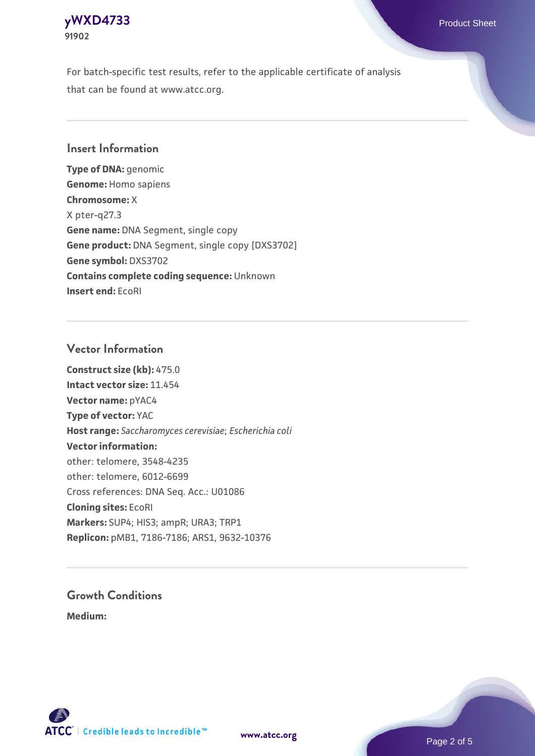#### **[yWXD4733](https://www.atcc.org/products/91902)** Product Sheet **91902**

For batch-specific test results, refer to the applicable certificate of analysis that can be found at www.atcc.org.

## **Insert Information**

**Type of DNA:** genomic **Genome:** Homo sapiens **Chromosome:** X X pter-q27.3 **Gene name:** DNA Segment, single copy **Gene product:** DNA Segment, single copy [DXS3702] **Gene symbol:** DXS3702 **Contains complete coding sequence:** Unknown **Insert end:** EcoRI

## **Vector Information**

**Construct size (kb):** 475.0 **Intact vector size:** 11.454 **Vector name:** pYAC4 **Type of vector:** YAC **Host range:** *Saccharomyces cerevisiae*; *Escherichia coli* **Vector information:** other: telomere, 3548-4235 other: telomere, 6012-6699 Cross references: DNA Seq. Acc.: U01086 **Cloning sites:** EcoRI **Markers:** SUP4; HIS3; ampR; URA3; TRP1 **Replicon:** pMB1, 7186-7186; ARS1, 9632-10376

# **Growth Conditions**

**Medium:** 



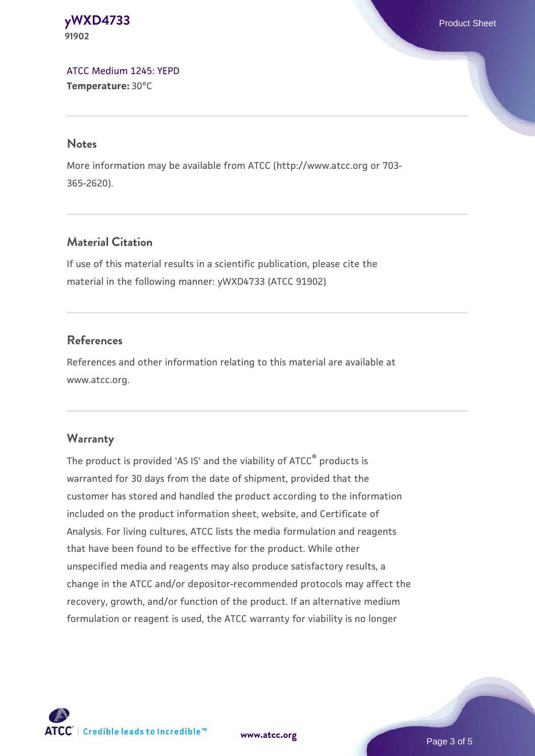#### **[yWXD4733](https://www.atcc.org/products/91902)** Product Sheet **91902**

[ATCC Medium 1245: YEPD](https://www.atcc.org/-/media/product-assets/documents/microbial-media-formulations/1/2/4/5/atcc-medium-1245.pdf?rev=705ca55d1b6f490a808a965d5c072196) **Temperature:** 30°C

#### **Notes**

More information may be available from ATCC (http://www.atcc.org or 703- 365-2620).

## **Material Citation**

If use of this material results in a scientific publication, please cite the material in the following manner: yWXD4733 (ATCC 91902)

## **References**

References and other information relating to this material are available at www.atcc.org.

## **Warranty**

The product is provided 'AS IS' and the viability of ATCC® products is warranted for 30 days from the date of shipment, provided that the customer has stored and handled the product according to the information included on the product information sheet, website, and Certificate of Analysis. For living cultures, ATCC lists the media formulation and reagents that have been found to be effective for the product. While other unspecified media and reagents may also produce satisfactory results, a change in the ATCC and/or depositor-recommended protocols may affect the recovery, growth, and/or function of the product. If an alternative medium formulation or reagent is used, the ATCC warranty for viability is no longer



**[www.atcc.org](http://www.atcc.org)**

Page 3 of 5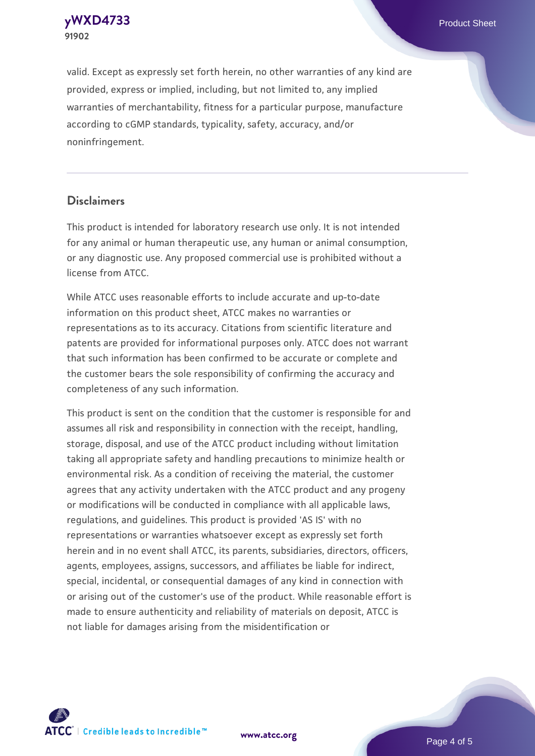**[yWXD4733](https://www.atcc.org/products/91902)** Product Sheet **91902**

valid. Except as expressly set forth herein, no other warranties of any kind are provided, express or implied, including, but not limited to, any implied warranties of merchantability, fitness for a particular purpose, manufacture according to cGMP standards, typicality, safety, accuracy, and/or noninfringement.

#### **Disclaimers**

This product is intended for laboratory research use only. It is not intended for any animal or human therapeutic use, any human or animal consumption, or any diagnostic use. Any proposed commercial use is prohibited without a license from ATCC.

While ATCC uses reasonable efforts to include accurate and up-to-date information on this product sheet, ATCC makes no warranties or representations as to its accuracy. Citations from scientific literature and patents are provided for informational purposes only. ATCC does not warrant that such information has been confirmed to be accurate or complete and the customer bears the sole responsibility of confirming the accuracy and completeness of any such information.

This product is sent on the condition that the customer is responsible for and assumes all risk and responsibility in connection with the receipt, handling, storage, disposal, and use of the ATCC product including without limitation taking all appropriate safety and handling precautions to minimize health or environmental risk. As a condition of receiving the material, the customer agrees that any activity undertaken with the ATCC product and any progeny or modifications will be conducted in compliance with all applicable laws, regulations, and guidelines. This product is provided 'AS IS' with no representations or warranties whatsoever except as expressly set forth herein and in no event shall ATCC, its parents, subsidiaries, directors, officers, agents, employees, assigns, successors, and affiliates be liable for indirect, special, incidental, or consequential damages of any kind in connection with or arising out of the customer's use of the product. While reasonable effort is made to ensure authenticity and reliability of materials on deposit, ATCC is not liable for damages arising from the misidentification or



**[www.atcc.org](http://www.atcc.org)**

Page 4 of 5